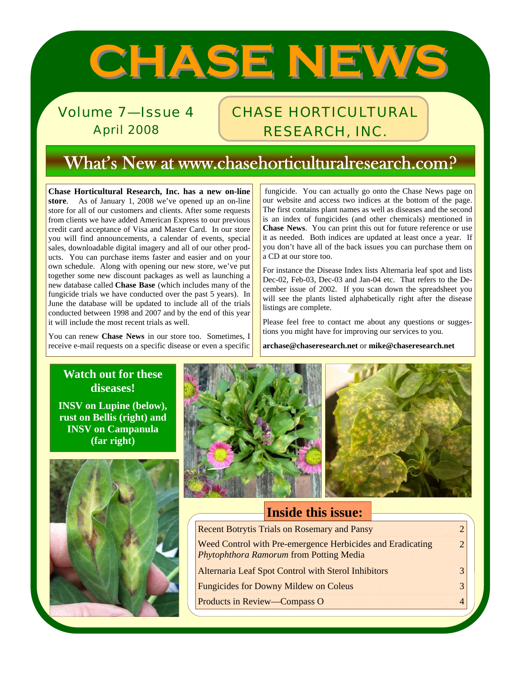# **CHASE NEWS CHASE NEWS**

Volume 7—Issue 4 April 2008

# CHASE HORTICULTURAL RESEARCH, INC.

# What's New at www.chasehorticulturalresearch.com?

**Chase Horticultural Research, Inc. has a new on-line store**. As of January 1, 2008 we've opened up an on-line store for all of our customers and clients. After some requests from clients we have added American Express to our previous credit card acceptance of Visa and Master Card. In our store you will find announcements, a calendar of events, special sales, downloadable digital imagery and all of our other products. You can purchase items faster and easier and on your own schedule. Along with opening our new store, we've put together some new discount packages as well as launching a new database called **Chase Base** (which includes many of the fungicide trials we have conducted over the past 5 years). In June the database will be updated to include all of the trials conducted between 1998 and 2007 and by the end of this year it will include the most recent trials as well.

You can renew **Chase News** in our store too. Sometimes, I receive e-mail requests on a specific disease or even a specific

 fungicide. You can actually go onto the Chase News page on our website and access two indices at the bottom of the page. The first contains plant names as well as diseases and the second is an index of fungicides (and other chemicals) mentioned in **Chase News**. You can print this out for future reference or use it as needed. Both indices are updated at least once a year. If you don't have all of the back issues you can purchase them on a CD at our store too.

For instance the Disease Index lists Alternaria leaf spot and lists Dec-02, Feb-03, Dec-03 and Jan-04 etc. That refers to the December issue of 2002. If you scan down the spreadsheet you will see the plants listed alphabetically right after the disease listings are complete.

Please feel free to contact me about any questions or suggestions you might have for improving our services to you.

**archase@chaseresearch.net** or **mike@chaseresearch.net**

#### **Watch out for these diseases!**

**INSV on Lupine (below), rust on Bellis (right) and INSV on Campanula (far right)** 





#### **Inside this issue:**

| <b>Recent Botrytis Trials on Rosemary and Pansy</b>                                                          | $\mathcal{D}$ |
|--------------------------------------------------------------------------------------------------------------|---------------|
| Weed Control with Pre-emergence Herbicides and Eradicating<br><b>Phytophthora Ramorum from Potting Media</b> | $\mathcal{D}$ |
| Alternaria Leaf Spot Control with Sterol Inhibitors                                                          | $\mathcal{R}$ |
| <b>Fungicides for Downy Mildew on Coleus</b>                                                                 |               |
| <b>Products in Review—Compass O</b>                                                                          |               |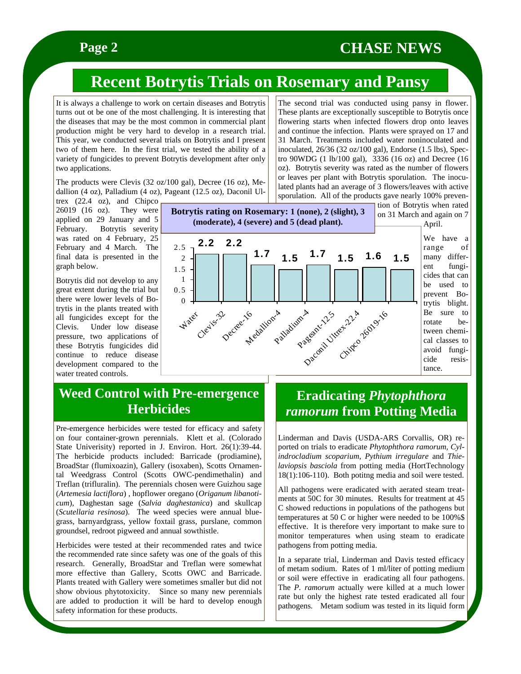## **Page 2** CHASE NEWS

The second trial was conducted using pansy in flower. These plants are exceptionally susceptible to Botrytis once flowering starts when infected flowers drop onto leaves and continue the infection. Plants were sprayed on 17 and 31 March. Treatments included water noninoculated and inoculated, 26/36 (32 oz/100 gal), Endorse (1.5 lbs), Spectro 90WDG (1 lb/100 gal), 3336 (16 oz) and Decree (16 oz). Botrytis severity was rated as the number of flowers

# **Recent Botrytis Trials on Rosemary and Pansy**

It is always a challenge to work on certain diseases and Botrytis turns out ot be one of the most challenging. It is interesting that the diseases that may be the most common in commercial plant production might be very hard to develop in a research trial. This year, we conducted several trials on Botrytis and I present two of them here. In the first trial, we tested the ability of a variety of fungicides to prevent Botrytis development after only two applications.

The products were Clevis (32 oz/100 gal), Decree (16 oz), Medallion (4 oz), Palladium (4 oz), Pageant (12.5 oz), Daconil Ul-

trex (22.4 oz), and Chipco 26019 (16 oz). They were applied on 29 January and 5 February. Botrytis severity was rated on 4 February, 25 February and 4 March. The final data is presented in the graph below.

Botrytis did not develop to any great extent during the trial but there were lower levels of Botrytis in the plants treated with all fungicides except for the Clevis. Under low disease pressure, two applications of these Botrytis fungicides did continue to reduce disease development compared to the water treated controls.



or leaves per plant with Botrytis sporulation. The inoculated plants had an average of 3 flowers/leaves with active sporulation. All of the products gave nearly 100% prevention of Botrytis when rated on 31 March and again on 7 April. We have a range of many different fungicides that can be used to prevent Botrytis blight.

Be sure to rotate between chemical classes to avoid fungicide resistance.

#### **Weed Control with Pre-emergence Herbicides**

Pre-emergence herbicides were tested for efficacy and safety on four container-grown perennials. Klett et al. (Colorado State Univerisity) reported in J. Environ. Hort. 26(1):39-44. The herbicide products included: Barricade (prodiamine), BroadStar (flumixoazin), Gallery (isoxaben), Scotts Ornamental Weedgrass Control (Scotts OWC-pendimethalin) and Treflan (trifluralin). The perennials chosen were Guizhou sage (*Artemesia lactiflora*) , hopflower oregano (*Origanum libanoticum*), Daghestan sage (*Salvia daghestanica*) and skullcap (*Scutellaria resinosa*). The weed species were annual bluegrass, barnyardgrass, yellow foxtail grass, purslane, common groundsel, redroot pigweed and annual sowthistle.

Herbicides were tested at their recommended rates and twice the recommended rate since safety was one of the goals of this research. Generally, BroadStar and Treflan were somewhat more effective than Gallery, Scotts OWC and Barricade. Plants treated with Gallery were sometimes smaller but did not show obvious phytotoxicity. Since so many new perennials are added to production it will be hard to develop enough safety information for these products.

## **Eradicating** *Phytophthora ramorum* **from Potting Media**

Linderman and Davis (USDA-ARS Corvallis, OR) reported on trials to eradicate *Phytophthora ramorum, Cylindrocladium scoparium, Pythium irregulare* and *Thielaviopsis basciola* from potting media (HortTechnology 18(1):106-110). Both potitng media and soil were tested.

All pathogens were eradicated with aerated steam treatments at 50C for 30 minutes. Results for treatment at 45 C showed reductions in populations of the pathogens but temperatures at 50 C or higher were needed to be 100%\$ effective. It is therefore very important to make sure to monitor temperatures when using steam to eradicate pathogens from potting media.

In a separate trial, Linderman and Davis tested efficacy of metam sodium. Rates of 1 ml/liter of potting medium or soil were effective in eradicating all four pathogens. The *P. ramorum* actually were killed at a much lower rate but only the highest rate tested eradicated all four pathogens. Metam sodium was tested in its liquid form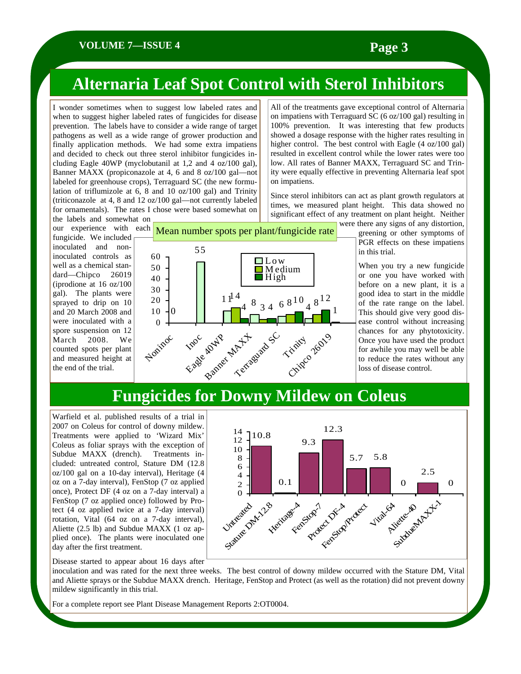#### **VOLUME 7—ISSUE 4 Page 3**

# **Alternaria Leaf Spot Control with Sterol Inhibitors**

I wonder sometimes when to suggest low labeled rates and when to suggest higher labeled rates of fungicides for disease prevention. The labels have to consider a wide range of target pathogens as well as a wide range of grower production and finally application methods. We had some extra impatiens and decided to check out three sterol inhibitor fungicides including Eagle 40WP (myclobutanil at 1,2 and 4 oz/100 gal), Banner MAXX (propiconazole at 4, 6 and 8 oz/100 gal—not labeled for greenhouse crops), Terraguard SC (the new formulation of triflumizole at 6, 8 and 10 oz/100 gal) and Trinity (triticonazole at 4, 8 and 12 oz/100 gal—not currently labeled for ornamentals). The rates I chose were based somewhat on the labels and somewhat on

fungicide. We included inoculated and noninoculated controls as well as a chemical standard—Chipco 26019 (iprodione at 16 oz/100 gal). The plants were sprayed to drip on 10 and 20 March 2008 and were inoculated with a spore suspension on 12 March 2008. We counted spots per plant and measured height at the end of the trial.



All of the treatments gave exceptional control of Alternaria on impatiens with Terraguard SC (6 oz/100 gal) resulting in 100% prevention. It was interesting that few products showed a dosage response with the higher rates resulting in higher control. The best control with Eagle (4 oz/100 gal) resulted in excellent control while the lower rates were too low. All rates of Banner MAXX, Terraguard SC and Trinity were equally effective in preventing Alternaria leaf spot on impatiens.

Since sterol inhibitors can act as plant growth regulators at times, we measured plant height. This data showed no significant effect of any treatment on plant height. Neither were there any signs of any distortion,

greening or other symptoms of PGR effects on these impatiens in this trial.

When you try a new fungicide or one you have worked with before on a new plant, it is a good idea to start in the middle of the rate range on the label. This should give very good disease control without increasing chances for any phytotoxicity. Once you have used the product for awhile you may well be able to reduce the rates without any loss of disease control.

## **Fungicides for Downy Mildew on Coleus**

Warfield et al. published results of a trial in 2007 on Coleus for control of downy mildew. Treatments were applied to 'Wizard Mix' Coleus as foliar sprays with the exception of Subdue MAXX (drench). Treatments included: untreated control, Stature DM (12.8 oz/100 gal on a 10-day interval), Heritage (4 oz on a 7-day interval), FenStop (7 oz applied once), Protect DF (4 oz on a 7-day interval) a FenStop (7 oz applied once) followed by Protect (4 oz applied twice at a 7-day interval) rotation, Vital (64 oz on a 7-day interval), Aliette (2.5 lb) and Subdue MAXX (1 oz applied once). The plants were inoculated one day after the first treatment.



Disease started to appear about 16 days after

inoculation and was rated for the next three weeks. The best control of downy mildew occurred with the Stature DM, Vital and Aliette sprays or the Subdue MAXX drench. Heritage, FenStop and Protect (as well as the rotation) did not prevent downy mildew significantly in this trial.

For a complete report see Plant Disease Management Reports 2:OT0004.